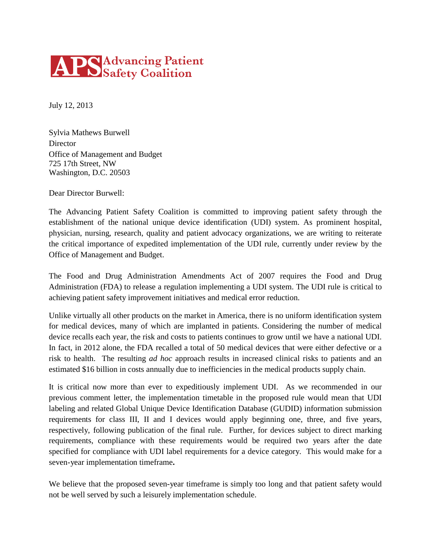## **APS** Advancing Patient

July 12, 2013

Sylvia Mathews Burwell **Director** Office of Management and Budget 725 17th Street, NW Washington, D.C. 20503

Dear Director Burwell:

The Advancing Patient Safety Coalition is committed to improving patient safety through the establishment of the national unique device identification (UDI) system. As prominent hospital, physician, nursing, research, quality and patient advocacy organizations, we are writing to reiterate the critical importance of expedited implementation of the UDI rule, currently under review by the Office of Management and Budget.

The Food and Drug Administration Amendments Act of 2007 requires the Food and Drug Administration (FDA) to release a regulation implementing a UDI system. The UDI rule is critical to achieving patient safety improvement initiatives and medical error reduction.

Unlike virtually all other products on the market in America, there is no uniform identification system for medical devices, many of which are implanted in patients. Considering the number of medical device recalls each year, the risk and costs to patients continues to grow until we have a national UDI. In fact, in 2012 alone, the FDA recalled a total of 50 medical devices that were either defective or a risk to health. The resulting *ad hoc* approach results in increased clinical risks to patients and an estimated \$16 billion in costs annually due to inefficiencies in the medical products supply chain.

It is critical now more than ever to expeditiously implement UDI. As we recommended in our previous comment letter, the implementation timetable in the proposed rule would mean that UDI labeling and related Global Unique Device Identification Database (GUDID) information submission requirements for class III, II and I devices would apply beginning one, three, and five years, respectively, following publication of the final rule. Further, for devices subject to direct marking requirements, compliance with these requirements would be required two years after the date specified for compliance with UDI label requirements for a device category. This would make for a seven-year implementation timeframe**.** 

We believe that the proposed seven-year timeframe is simply too long and that patient safety would not be well served by such a leisurely implementation schedule.